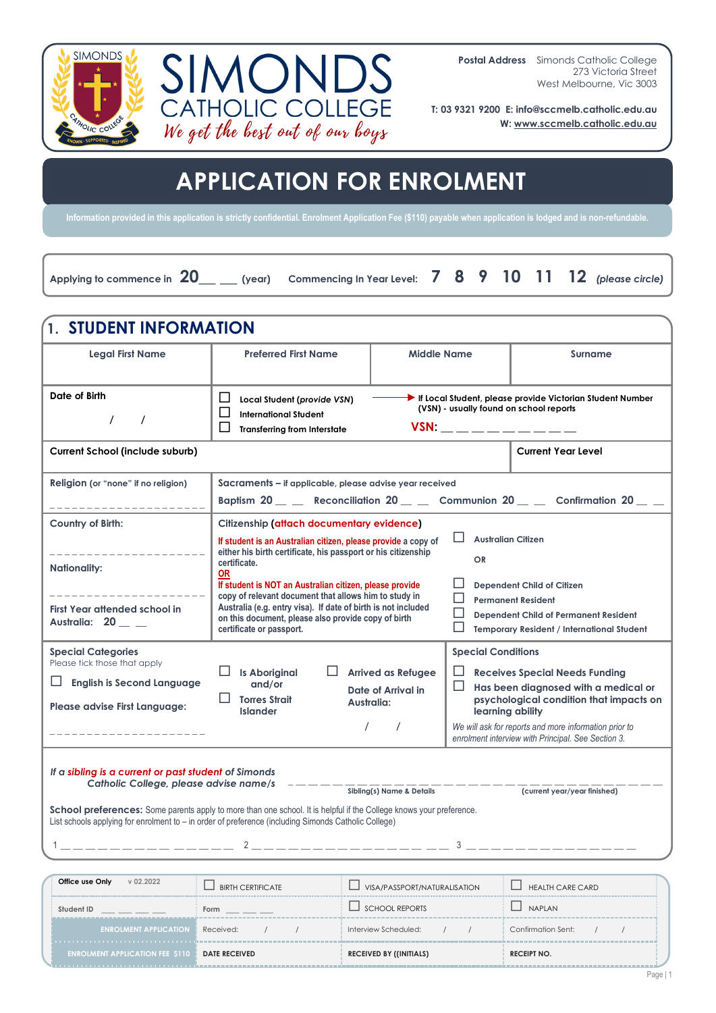



**T: 03 9321 9200 E: info@sccmelb.catholic.edu.au W: [www.sccmelb.catholic.edu.au](http://www.sccmelb.catholic.edu.au/)**

# **APPLICATION FOR ENROLMENT**

**Information provided in this application is strictly confidential. Enrolment Application Fee (\$110) payable when application is lodged and is non-refundable.**

**Applying to commence in 20\_\_ \_\_ (year) Commencing In Year Level: 7 8 9 10 11 12** *(please circle)*

| <b>STUDENT INFORMATION</b>                                                                                                                                                                                                                                                                                                                                                                                                                       |                                                                                                                                                                                                                                                                                                                                                                                                                                                                                                                     |                                                                           |                                                              |                                                                                                                                                                                                                                         |
|--------------------------------------------------------------------------------------------------------------------------------------------------------------------------------------------------------------------------------------------------------------------------------------------------------------------------------------------------------------------------------------------------------------------------------------------------|---------------------------------------------------------------------------------------------------------------------------------------------------------------------------------------------------------------------------------------------------------------------------------------------------------------------------------------------------------------------------------------------------------------------------------------------------------------------------------------------------------------------|---------------------------------------------------------------------------|--------------------------------------------------------------|-----------------------------------------------------------------------------------------------------------------------------------------------------------------------------------------------------------------------------------------|
| <b>Legal First Name</b>                                                                                                                                                                                                                                                                                                                                                                                                                          | <b>Preferred First Name</b>                                                                                                                                                                                                                                                                                                                                                                                                                                                                                         | <b>Middle Name</b>                                                        |                                                              | Surname                                                                                                                                                                                                                                 |
| Date of Birth<br>$\prime$<br>$\prime$<br>Current School (include suburb)                                                                                                                                                                                                                                                                                                                                                                         | If Local Student, please provide Victorian Student Number<br>LΙ<br>Local Student (provide VSN)<br>(VSN) - usually found on school reports<br><b>International Student</b><br>$VSN:$ $\_\_$ $\_\_$ $\_\_$ $\_\_$ $\_\_$ $\_\_$ $\_\_$ $\_\_$ $\_\_$ $\_\_$ $\_\_$ $\_\_$ $\_\_$ $\_\_$ $\_\_$ $\_\_$ $\_\_$ $\_\_$ $\_\_$ $\_\_$ $\_\_$ $\_\_$ $\_\_$ $\_\_$ $\_\_$ $\_\_$ $\_\_$ $\_\_$ $\_\_$ $\_\_$ $\_\_$ $\_\_$ $\_\_$ $\_\_$ $\_\_$ $\_\_$<br><b>Transferring from Interstate</b><br><b>Current Year Level</b> |                                                                           |                                                              |                                                                                                                                                                                                                                         |
| Religion (or "none" if no religion)<br>-------------------                                                                                                                                                                                                                                                                                                                                                                                       | Sacraments - if applicable, please advise year received                                                                                                                                                                                                                                                                                                                                                                                                                                                             |                                                                           |                                                              | Baptism 20 _ _ Reconciliation 20 _ _ Communion 20 _ _ Confirmation 20 _ _                                                                                                                                                               |
| Country of Birth:<br>_____________________<br><b>Nationality:</b><br>_______________<br><b>First Year attended school in</b><br>Australia: 20 _ _                                                                                                                                                                                                                                                                                                | Citizenship (attach documentary evidence)<br>If student is an Australian citizen, please provide a copy of<br>either his birth certificate, his passport or his citizenship<br>certificate.<br>0R<br>If student is NOT an Australian citizen, please provide<br>copy of relevant document that allows him to study in<br>Australia (e.g. entry visa). If date of birth is not included<br>on this document, please also provide copy of birth<br>certificate or passport.                                           |                                                                           | <b>Australian Citizen</b><br><b>OR</b>                       | Dependent Child of Citizen<br><b>Permanent Resident</b><br><b>Dependent Child of Permanent Resident</b><br><b>Temporary Resident / International Student</b>                                                                            |
| <b>Special Categories</b><br>Please tick those that apply<br><b>English is Second Language</b><br>Please advise First Language:                                                                                                                                                                                                                                                                                                                  | <b>Is Aboriginal</b><br>and/or<br><b>Torres Strait</b><br><b>Islander</b>                                                                                                                                                                                                                                                                                                                                                                                                                                           | <b>Arrived as Refugee</b><br>Date of Arrival in<br>Australia:<br>$\prime$ | <b>Special Conditions</b><br>$\Box$<br>ப<br>learning ability | <b>Receives Special Needs Funding</b><br>Has been diagnosed with a medical or<br>psychological condition that impacts on<br>We will ask for reports and more information prior to<br>enrolment interview with Principal. See Section 3. |
| If a sibling is a current or past student of Simonds<br>Catholic College, please advise name/s ----<br>$\frac{1}{\sqrt{2}}$ Sibling(s) Name & Details<br>$\frac{1}{\sqrt{2}}$ (current year/year finished)<br><b>School preferences:</b> Some parents apply to more than one school. It is helpful if the College knows your preference.<br>List schools applying for enrolment to – in order of preference (including Simonds Catholic College) |                                                                                                                                                                                                                                                                                                                                                                                                                                                                                                                     |                                                                           |                                                              |                                                                                                                                                                                                                                         |
| Office use Only v 02.2022                                                                                                                                                                                                                                                                                                                                                                                                                        | $\Box$ BIRTH CERTIFICATE                                                                                                                                                                                                                                                                                                                                                                                                                                                                                            | VISA/PASSPORT/NATURALISATION                                              |                                                              | HEALTH CARE CARD                                                                                                                                                                                                                        |
| Student ID                                                                                                                                                                                                                                                                                                                                                                                                                                       | Form                                                                                                                                                                                                                                                                                                                                                                                                                                                                                                                | $\Box$ SCHOOL REPORTS<br>$\Box$ NAPLAN                                    |                                                              |                                                                                                                                                                                                                                         |
| <b>ENROLMENT APPLICATION</b>                                                                                                                                                                                                                                                                                                                                                                                                                     | $\sqrt{2}$<br>Received:<br>$\sqrt{ }$                                                                                                                                                                                                                                                                                                                                                                                                                                                                               | Interview Scheduled: /                                                    | $\sqrt{2}$                                                   | Confirmation Sent:<br>$\sqrt{2}$<br>$\sqrt{2}$                                                                                                                                                                                          |

**ENROLMENT APPLICATION FEE \$110 DATE RECEIVED RECEIVED BY ((INITIALS) RECEIPT NO.**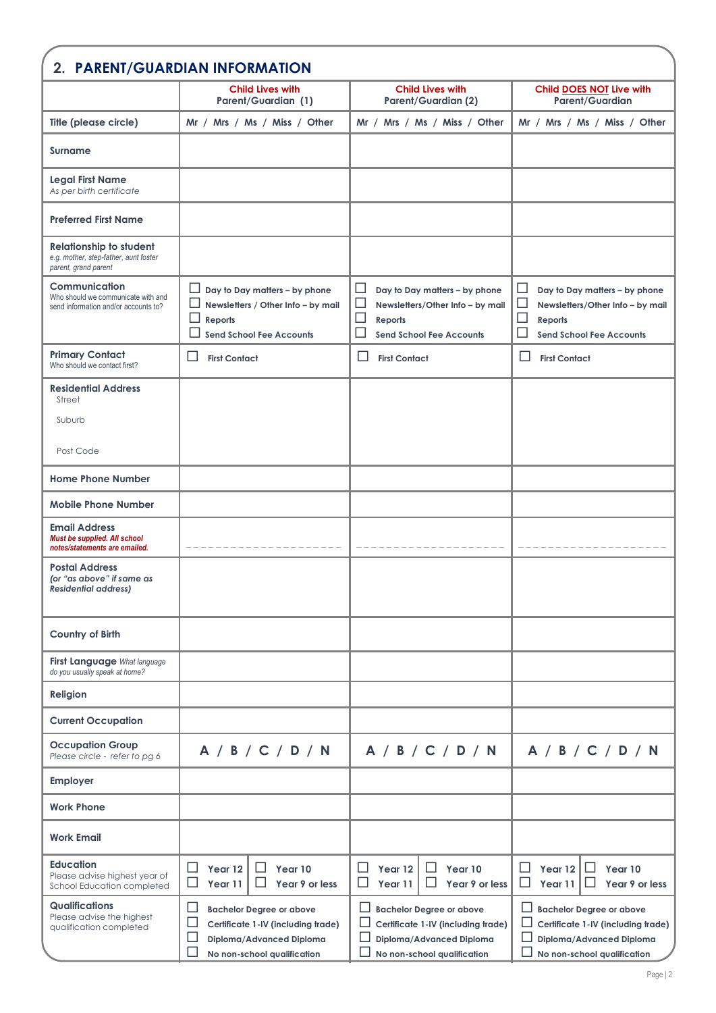|                                                                                                 | 2. PARENT/GUARDIAN INFORMATION                                                                                                             |                                                                                                                                     |                                                                                                                                                    |
|-------------------------------------------------------------------------------------------------|--------------------------------------------------------------------------------------------------------------------------------------------|-------------------------------------------------------------------------------------------------------------------------------------|----------------------------------------------------------------------------------------------------------------------------------------------------|
|                                                                                                 | <b>Child Lives with</b><br>Parent/Guardian (1)                                                                                             | <b>Child Lives with</b><br>Parent/Guardian (2)                                                                                      | Child DOES NOT Live with<br><b>Parent/Guardian</b>                                                                                                 |
| Title (please circle)                                                                           | Mr / Mrs / Ms / Miss / Other                                                                                                               | Mr / Mrs / Ms / Miss / Other                                                                                                        | Mr / Mrs / Ms / Miss / Other                                                                                                                       |
| Surname                                                                                         |                                                                                                                                            |                                                                                                                                     |                                                                                                                                                    |
| <b>Legal First Name</b><br>As per birth certificate                                             |                                                                                                                                            |                                                                                                                                     |                                                                                                                                                    |
| <b>Preferred First Name</b>                                                                     |                                                                                                                                            |                                                                                                                                     |                                                                                                                                                    |
| <b>Relationship to student</b><br>e.g. mother, step-father, aunt foster<br>parent, grand parent |                                                                                                                                            |                                                                                                                                     |                                                                                                                                                    |
| Communication<br>Who should we communicate with and<br>send information and/or accounts to?     | Day to Day matters - by phone<br>Newsletters / Other Info - by mail<br>Reports<br><b>Send School Fee Accounts</b>                          | ⊔<br>Day to Day matters - by phone<br>□<br>Newsletters/Other Info - by mail<br>⊏<br>Reports<br>П<br><b>Send School Fee Accounts</b> | $\Box$<br>Day to Day matters - by phone<br>$\Box$<br>Newsletters/Other Info - by mail<br>$\Box$<br>Reports<br>П<br><b>Send School Fee Accounts</b> |
| <b>Primary Contact</b><br>Who should we contact first?                                          | H<br><b>First Contact</b>                                                                                                                  | Ш<br><b>First Contact</b>                                                                                                           | ப<br><b>First Contact</b>                                                                                                                          |
| <b>Residential Address</b><br>Street                                                            |                                                                                                                                            |                                                                                                                                     |                                                                                                                                                    |
| Suburb                                                                                          |                                                                                                                                            |                                                                                                                                     |                                                                                                                                                    |
| Post Code                                                                                       |                                                                                                                                            |                                                                                                                                     |                                                                                                                                                    |
| <b>Home Phone Number</b>                                                                        |                                                                                                                                            |                                                                                                                                     |                                                                                                                                                    |
| <b>Mobile Phone Number</b>                                                                      |                                                                                                                                            |                                                                                                                                     |                                                                                                                                                    |
| <b>Email Address</b><br>Must be supplied. All school<br>notes/statements are emailed.           |                                                                                                                                            |                                                                                                                                     |                                                                                                                                                    |
| <b>Postal Address</b><br>(or "as above" if same as<br><b>Residential address)</b>               |                                                                                                                                            |                                                                                                                                     |                                                                                                                                                    |
| <b>Country of Birth</b>                                                                         |                                                                                                                                            |                                                                                                                                     |                                                                                                                                                    |
| First Language What language<br>do you usually speak at home?                                   |                                                                                                                                            |                                                                                                                                     |                                                                                                                                                    |
| Religion                                                                                        |                                                                                                                                            |                                                                                                                                     |                                                                                                                                                    |
| <b>Current Occupation</b>                                                                       |                                                                                                                                            |                                                                                                                                     |                                                                                                                                                    |
| <b>Occupation Group</b><br>Please circle - refer to pg 6                                        | A / B / C / D / N                                                                                                                          | A / B / C / D / N                                                                                                                   | A / B / C / D / N                                                                                                                                  |
| <b>Employer</b>                                                                                 |                                                                                                                                            |                                                                                                                                     |                                                                                                                                                    |
| <b>Work Phone</b>                                                                               |                                                                                                                                            |                                                                                                                                     |                                                                                                                                                    |
| <b>Work Email</b>                                                                               |                                                                                                                                            |                                                                                                                                     |                                                                                                                                                    |
| <b>Education</b><br>Please advise highest year of<br>School Education completed                 | П<br>ப<br>Year 12<br>Year 10<br>ப<br>Year 11<br>Year 9 or less                                                                             | Ш<br>Year 12<br>$\Box$ Year 10<br>ĪΙ<br>Year 11<br>ΙI<br>Year 9 or less                                                             | $\Box$<br>П<br>Year 12<br>Year 10<br>□<br>Year 11<br>ப<br>Year 9 or less                                                                           |
| <b>Qualifications</b><br>Please advise the highest<br>qualification completed                   | ப<br><b>Bachelor Degree or above</b><br>⊔<br>Certificate 1-IV (including trade)<br>Diploma/Advanced Diploma<br>No non-school qualification | <b>Bachelor Degree or above</b><br>Certificate 1-IV (including trade)<br>Diploma/Advanced Diploma<br>No non-school qualification    | <b>Bachelor Degree or above</b><br>ப<br>Certificate 1-IV (including trade)<br>Diploma/Advanced Diploma<br>No non-school qualification              |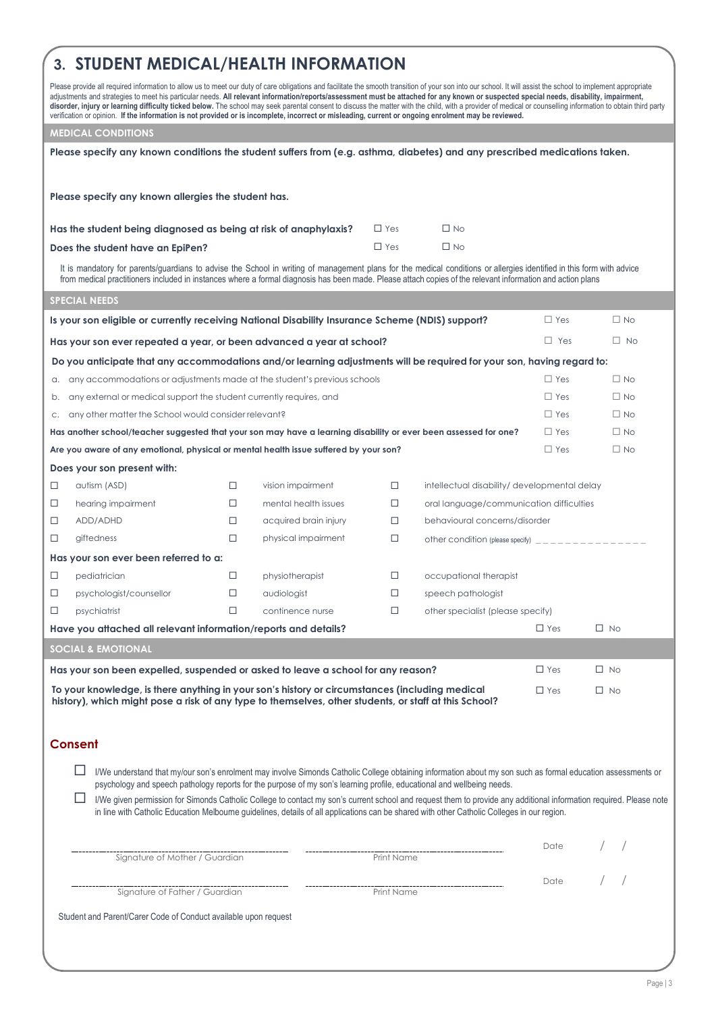# **3. STUDENT MEDICAL/HEALTH INFORMATION**

Please provide all required information to allow us to meet our duty of care obligations and facilitate the smooth transition of your son into our school. It will assist the school to implement appropriate adjustments and strategies to meet his particular needs. **All relevant information/reports/assessment must be attached for any known or suspected special needs, disability, impairment,**  disorder, injury or learning difficulty ticked below. The school may seek parental consent to discuss the matter with the child, with a provider of medical or counselling information to obtain third party verification or opinion. **If the information is not provided or is incomplete, incorrect or misleading, current or ongoing enrolment may be reviewed.**

### **MEDICAL CONDITIONS**

| Please specify any known conditions the student suffers from (e.g. asthma, diabetes) and any prescribed medications taken.                                                                                                                                                                                                          |   |                       |            |                                              |            |           |
|-------------------------------------------------------------------------------------------------------------------------------------------------------------------------------------------------------------------------------------------------------------------------------------------------------------------------------------|---|-----------------------|------------|----------------------------------------------|------------|-----------|
| Please specify any known allergies the student has.                                                                                                                                                                                                                                                                                 |   |                       |            |                                              |            |           |
|                                                                                                                                                                                                                                                                                                                                     |   |                       |            |                                              |            |           |
| Has the student being diagnosed as being at risk of anaphylaxis?                                                                                                                                                                                                                                                                    |   |                       | $\Box$ Yes | $\Box$ No                                    |            |           |
| Does the student have an EpiPen?                                                                                                                                                                                                                                                                                                    |   |                       | $\Box$ Yes | $\Box$ No                                    |            |           |
| It is mandatory for parents/guardians to advise the School in writing of management plans for the medical conditions or allergies identified in this form with advice<br>from medical practitioners included in instances where a formal diagnosis has been made. Please attach copies of the relevant information and action plans |   |                       |            |                                              |            |           |
|                                                                                                                                                                                                                                                                                                                                     |   |                       |            |                                              |            |           |
| <b>SPECIAL NEEDS</b>                                                                                                                                                                                                                                                                                                                |   |                       |            |                                              |            |           |
| Is your son eligible or currently receiving National Disability Insurance Scheme (NDIS) support?                                                                                                                                                                                                                                    |   |                       |            |                                              | $\Box$ Yes | $\Box$ No |
| Has your son ever repeated a year, or been advanced a year at school?                                                                                                                                                                                                                                                               |   |                       |            |                                              | $\Box$ Yes | $\Box$ No |
| Do you anticipate that any accommodations and/or learning adjustments will be required for your son, having regard to:                                                                                                                                                                                                              |   |                       |            |                                              |            |           |
| any accommodations or adjustments made at the student's previous schools<br>α.                                                                                                                                                                                                                                                      |   |                       |            |                                              | $\Box$ Yes | $\Box$ No |
| any external or medical support the student currently requires, and<br>b.                                                                                                                                                                                                                                                           |   |                       |            |                                              | $\Box$ Yes | $\Box$ No |
| any other matter the School would consider relevant?<br>C.                                                                                                                                                                                                                                                                          |   |                       |            |                                              | $\Box$ Yes | $\Box$ No |
| Has another school/teacher suggested that your son may have a learning disability or ever been assessed for one?                                                                                                                                                                                                                    |   |                       |            |                                              | $\Box$ Yes | $\Box$ No |
| Are you aware of any emotional, physical or mental health issue suffered by your son?                                                                                                                                                                                                                                               |   |                       |            |                                              | $\Box$ Yes | $\Box$ No |
| Does your son present with:                                                                                                                                                                                                                                                                                                         |   |                       |            |                                              |            |           |
| autism (ASD)<br>$\Box$                                                                                                                                                                                                                                                                                                              | □ | vision impairment     | $\Box$     | intellectual disability/ developmental delay |            |           |
| □<br>hearing impairment                                                                                                                                                                                                                                                                                                             | □ | mental health issues  | $\Box$     | oral language/communication difficulties     |            |           |
| □<br>ADD/ADHD                                                                                                                                                                                                                                                                                                                       | □ | acquired brain injury | $\Box$     | behavioural concerns/disorder                |            |           |
| □<br>giftedness                                                                                                                                                                                                                                                                                                                     | □ | physical impairment   | $\Box$     |                                              |            |           |
| Has your son ever been referred to a:                                                                                                                                                                                                                                                                                               |   |                       |            |                                              |            |           |
| pediatrician<br>□                                                                                                                                                                                                                                                                                                                   | □ | physiotherapist       | $\Box$     | occupational therapist                       |            |           |
| psychologist/counsellor<br>□                                                                                                                                                                                                                                                                                                        | □ | audiologist           | $\Box$     | speech pathologist                           |            |           |
| psychiatrist<br>□                                                                                                                                                                                                                                                                                                                   | □ | continence nurse      | $\Box$     | other specialist (please specify)            |            |           |
| Have you attached all relevant information/reports and details?                                                                                                                                                                                                                                                                     |   |                       |            |                                              | $\Box$ Yes | $\Box$ No |
| <b>SOCIAL &amp; EMOTIONAL</b>                                                                                                                                                                                                                                                                                                       |   |                       |            |                                              |            |           |
|                                                                                                                                                                                                                                                                                                                                     |   |                       |            |                                              |            |           |
| Has your son been expelled, suspended or asked to leave a school for any reason?                                                                                                                                                                                                                                                    |   |                       |            |                                              | $\Box$ Yes | $\Box$ No |
| To your knowledge, is there anything in your son's history or circumstances (including medical<br>history), which might pose a risk of any type to themselves, other students, or staff at this School?                                                                                                                             |   |                       |            |                                              | $\Box$ Yes | $\Box$ No |
|                                                                                                                                                                                                                                                                                                                                     |   |                       |            |                                              |            |           |
| Consent                                                                                                                                                                                                                                                                                                                             |   |                       |            |                                              |            |           |
| I/We understand that my/our son's enrolment may involve Simonds Catholic College obtaining information about my son such as formal education assessments or                                                                                                                                                                         |   |                       |            |                                              |            |           |
| psychology and speech pathology reports for the purpose of my son's learning profile, educational and wellbeing needs.                                                                                                                                                                                                              |   |                       |            |                                              |            |           |
| I/We given permission for Simonds Catholic College to contact my son's current school and request them to provide any additional information required. Please note<br>in line with Catholic Education Melbourne guidelines, details of all applications can be shared with other Catholic Colleges in our region.                   |   |                       |            |                                              |            |           |
|                                                                                                                                                                                                                                                                                                                                     |   |                       |            |                                              |            |           |
| Signature of Mother / Guardian                                                                                                                                                                                                                                                                                                      |   |                       | Print Name |                                              | Date       |           |
|                                                                                                                                                                                                                                                                                                                                     |   |                       |            |                                              |            |           |
| Signature of Father / Guardian                                                                                                                                                                                                                                                                                                      |   |                       | Print Name |                                              | Date       |           |
|                                                                                                                                                                                                                                                                                                                                     |   |                       |            |                                              |            |           |
| Student and Parent/Carer Code of Conduct available upon request                                                                                                                                                                                                                                                                     |   |                       |            |                                              |            |           |
|                                                                                                                                                                                                                                                                                                                                     |   |                       |            |                                              |            |           |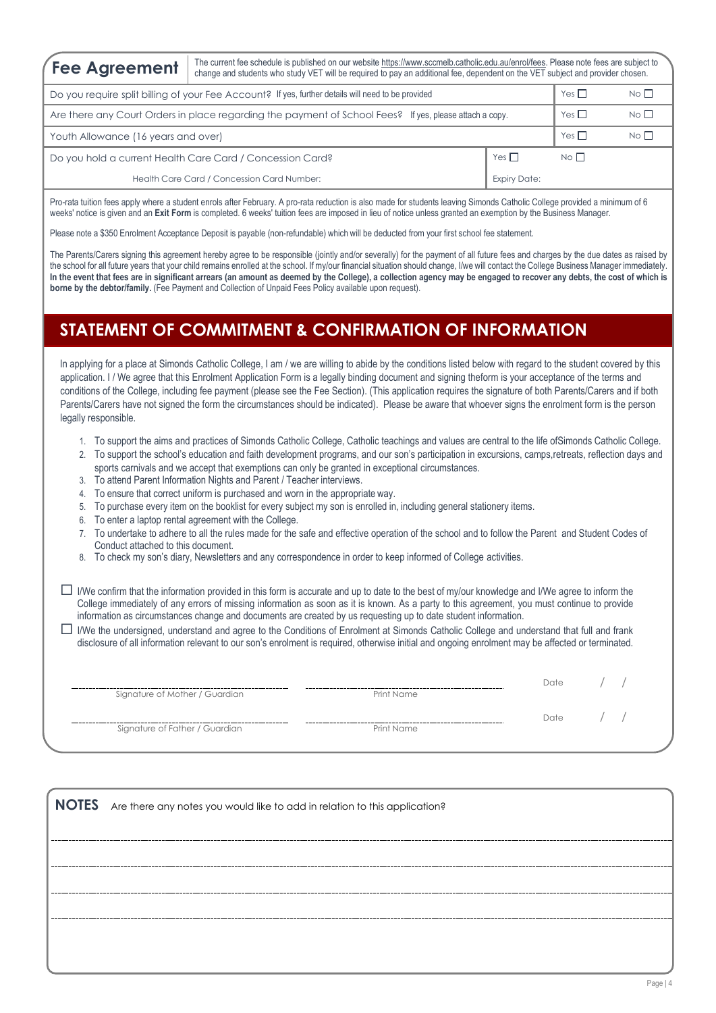| The current fee schedule is published on our website https://www.sccmelb.catholic.edu.au/enrol/fees. Please note fees are subject to<br><b>Fee Agreement</b><br>change and students who study VET will be required to pay an additional fee, dependent on the VET subject and provider chosen. |  |  |  |  |
|------------------------------------------------------------------------------------------------------------------------------------------------------------------------------------------------------------------------------------------------------------------------------------------------|--|--|--|--|
| Yes $\Box$<br>$N$ o $\Box$<br>Do you require split billing of your Fee Account? If yes, further details will need to be provided                                                                                                                                                               |  |  |  |  |
| Yes $\Box$<br>$N_O$ $\Box$<br>Are there any Court Orders in place regarding the payment of School Fees? If yes, please attach a copy.                                                                                                                                                          |  |  |  |  |
| Yes $\Box$<br>$N_O$ $\Box$<br>Youth Allowance (16 years and over)                                                                                                                                                                                                                              |  |  |  |  |
| Yes $\Box$<br>Do you hold a current Health Care Card / Concession Card?                                                                                                                                                                                                                        |  |  |  |  |
| Health Care Card / Concession Card Number:<br><b>Expiry Date:</b>                                                                                                                                                                                                                              |  |  |  |  |

Pro-rata tuition fees apply where a student enrols after February. A pro-rata reduction is also made for students leaving Simonds Catholic College provided a minimum of 6 weeks' notice is given and an **Exit Form** is completed. 6 weeks' tuition fees are imposed in lieu of notice unless granted an exemption by the Business Manager.

Please note a \$350 Enrolment Acceptance Deposit is payable (non-refundable) which will be deducted from your first school fee statement.

The Parents/Carers signing this agreement hereby agree to be responsible (jointly and/or severally) for the payment of all future fees and charges by the due dates as raised by the school for all future years that your child remains enrolled at the school. If my/our financial situation should change, I/we will contact the College Business Manager immediately. **In the event that fees are in significant arrears (an amount as deemed by the College), a collection agency may be engaged to recover any debts, the cost of which is borne by the debtor/family.** (Fee Payment and Collection of Unpaid Fees Policy available upon request).

## **STATEMENT OF COMMITMENT & CONFIRMATION OF INFORMATION**

In applying for a place at Simonds Catholic College, I am / we are willing to abide by the conditions listed below with regard to the student covered by this application. I / We agree that this Enrolment Application Form is a legally binding document and signing theform is your acceptance of the terms and conditions of the College, including fee payment (please see the Fee Section). (This application requires the signature of both Parents/Carers and if both Parents/Carers have not signed the form the circumstances should be indicated). Please be aware that whoever signs the enrolment form is the person legally responsible.

- 1. To support the aims and practices of Simonds Catholic College, Catholic teachings and values are central to the life ofSimonds Catholic College.
- 2. To support the school's education and faith development programs, and our son's participation in excursions, camps,retreats, reflection days and sports carnivals and we accept that exemptions can only be granted in exceptional circumstances.
- 3. To attend Parent Information Nights and Parent / Teacher interviews.
- 4. To ensure that correct uniform is purchased and worn in the appropriate way.
- 5. To purchase every item on the booklist for every subject my son is enrolled in, including general stationery items.
- 6. To enter a laptop rental agreement with the College.
- 7. To undertake to adhere to all the rules made for the safe and effective operation of the school and to follow the Parent and Student Codes of Conduct attached to this document.
- 8. To check my son's diary, Newsletters and any correspondence in order to keep informed of College activities.

 I/We confirm that the information provided in this form is accurate and up to date to the best of my/our knowledge and I/We agree to inform the College immediately of any errors of missing information as soon as it is known. As a party to this agreement, you must continue to provide information as circumstances change and documents are created by us requesting up to date student information.

 $\Box$  I/We the undersigned, understand and agree to the Conditions of Enrolment at Simonds Catholic College and understand that full and frank disclosure of all information relevant to our son's enrolment is required, otherwise initial and ongoing enrolment may be affected or terminated.

| Signature of Mother / Guardian | Print Name | Date $/$ / |  |
|--------------------------------|------------|------------|--|
| Signature of Father / Guardian | Print Name | Date $/$ / |  |
|                                |            |            |  |

| <b>NOTES</b> Are there any notes you would like to add in relation to this application? |
|-----------------------------------------------------------------------------------------|
|                                                                                         |
|                                                                                         |
|                                                                                         |
|                                                                                         |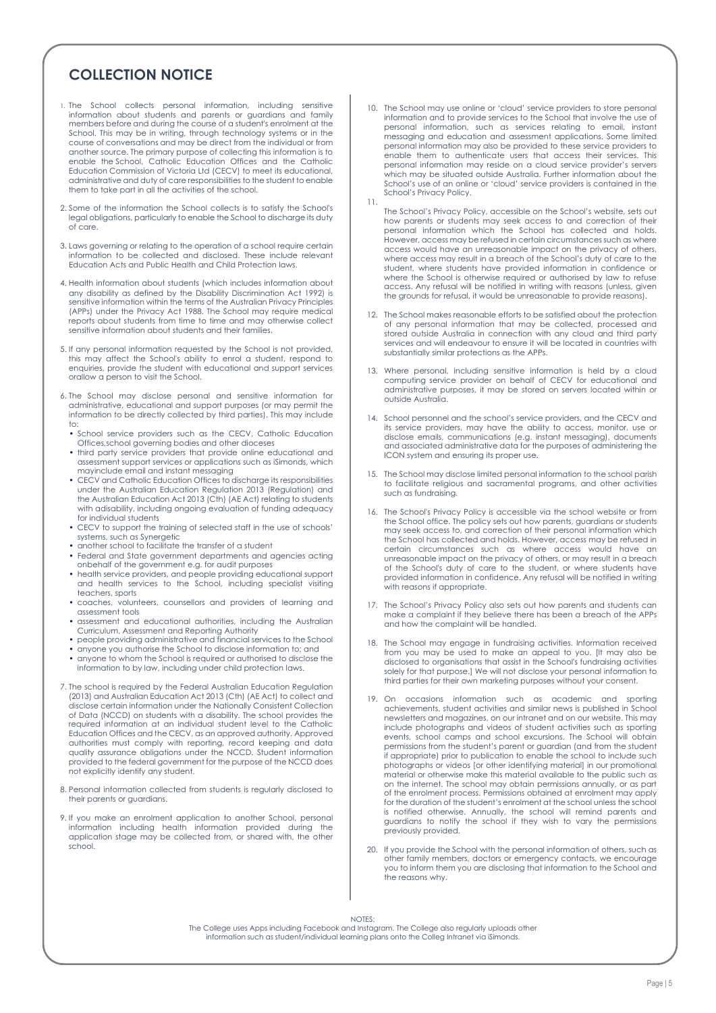### **COLLECTION NOTICE**

- 1. The School collects personal information, including sensitive information about students and parents or guardians and family members before and during the course of a student's enrolment at the School. This may be in writing, through technology systems or in the course of conversations and may be direct from the individual or from another source. The primary purpose of collecting this information is to enable the School, Catholic Education Offices and the Catholic Education Commission of Victoria Ltd (CECV) to meet its educational, administrative and duty of care responsibilities to the student to enable them to take part in all the activities of the school.
- 2. Some of the information the School collects is to satisfy the School's legal obligations, particularly to enable the School to discharge its duty of care.
- 3. Laws governing or relating to the operation of a school require certain information to be collected and disclosed. These include relevant Education Acts and Public Health and Child Protection laws.
- 4. Health information about students (which includes information about any disability as defined by the Disability Discrimination Act 1992) is sensitive information within the terms of the Australian Privacy Principles (APPs) under the Privacy Act 1988. The School may require medical reports about students from time to time and may otherwise collect sensitive information about students and their families.
- 5. If any personal information requested by the School is not provided, this may affect the School's ability to enrol a student, respond to enquiries, provide the student with educational and support services orallow a person to visit the School.
- 6. The School may disclose personal and sensitive information for administrative, educational and support purposes (or may permit the information to be directly collected by third parties). This may include
	- to: School service providers such as the CECV, Catholic Education Offices,school governing bodies and other dioceses
	- third party service providers that provide online educational and assessment support services or applications such as iSimonds, which mayinclude email and instant messaging
	- CECV and Catholic Education Offices to discharge its responsibilities under the Australian Education Regulation 2013 (Regulation) and the Australian Education Act 2013 (Cth) (AE Act) relating to students with adisability, including ongoing evaluation of funding adequacy for individual students
	- CECV to support the training of selected staff in the use of schools' systems, such as Synergetic
	- another school to facilitate the transfer of a student
	- Federal and State government departments and agencies acting
	- onbehalf of the government e.g. for audit purposes health service providers, and people providing educational support and health services to the School, including specialist visiting teachers, sports
	- coaches, volunteers, counsellors and providers of learning and assessment tools
	- assessment and educational authorities, including the Australian Curriculum, Assessment and Reporting Authority
	- people providing administrative and financial services to the School
	- anyone you authorise the School to disclose information to; and • anyone to whom the School is required or authorised to disclose the information to by law, including under child protection laws.
- 7. The school is required by the Federal Australian Education Regulation (2013) and Australian Education Act 2013 (Cth) (AE Act) to collect and disclose certain information under the Nationally Consistent Collection of Data (NCCD) on students with a disability. The school provides the required information at an individual student level to the Catholic Education Offices and the CECV, as an approved authority. Approved authorities must comply with reporting, record keeping and data quality assurance obligations under the NCCD. Student information provided to the federal government for the purpose of the NCCD does not explicitly identify any student.
- 8. Personal information collected from students is regularly disclosed to their parents or guardians.
- 9. If you make an enrolment application to another School, personal information including health information provided during the application stage may be collected from, or shared with, the other school.
- 10. The School may use online or 'cloud' service providers to store personal information and to provide services to the School that involve the use of personal information, such as services relating to email, instant messaging and education and assessment applications. Some limited personal information may also be provided to these service providers to enable them to authenticate users that access their services. This personal information may reside on a cloud service provider's servers which may be situated outside Australia. Further information about the School's use of an online or 'cloud' service providers is contained in the School's Privacy Policy. 11.
- The School's Privacy Policy, accessible on the School's website, sets out how parents or students may seek access to and correction of their personal information which the School has collected and holds. However, access may be refused in certain circumstances such as where access would have an unreasonable impact on the privacy of others, where access may result in a breach of the School's duty of care to the student, where students have provided information in confidence or where the School is otherwise required or authorised by law to refuse access. Any refusal will be notified in writing with reasons (unless, given the grounds for refusal, it would be unreasonable to provide reasons).
- 12. The School makes reasonable efforts to be satisfied about the protection of any personal information that may be collected, processed and stored outside Australia in connection with any cloud and third party services and will endeavour to ensure it will be located in countries with substantially similar protections as the APPs.
- 13. Where personal, including sensitive information is held by a cloud computing service provider on behalf of CECV for educational and administrative purposes, it may be stored on servers located within or outside Australia.
- 14. School personnel and the school's service providers, and the CECV and its service providers, may have the ability to access, monitor, use or disclose emails, communications (e.g. instant messaging), documents and associated administrative data for the purposes of administering the ICON system and ensuring its proper use.
- 15. The School may disclose limited personal information to the school parish to facilitate religious and sacramental programs, and other activities such as fundraising.
- 16. The School's Privacy Policy is accessible via the school website or from the School office. The policy sets out how parents, guardians or students may seek access to, and correction of their personal information which the School has collected and holds. However, access may be refused in certain circumstances such as where access would have an unreasonable impact on the privacy of others, or may result in a breach of the School's duty of care to the student, or where students have provided information in confidence. Any refusal will be notified in writing with reasons if appropriate.
- 17. The School's Privacy Policy also sets out how parents and students can make a complaint if they believe there has been a breach of the APPs and how the complaint will be handled.
- 18. The School may engage in fundraising activities. Information received from you may be used to make an appeal to you. [It may also be disclosed to organisations that assist in the School's fundraising activities solely for that purpose.] We will not disclose your personal information to third parties for their own marketing purposes without your consent.
- 19. On occasions information such as academic and sporting achievements, student activities and similar news is published in School newsletters and magazines, on our intranet and on our website. This may include photographs and videos of student activities such as sporting events, school camps and school excursions. The School will obtain permissions from the student's parent or guardian (and from the student if appropriate) prior to publication to enable the school to include such photographs or videos [or other identifying material] in our promotional material or otherwise make this material available to the public such as on the internet. The school may obtain permissions annually, or as part of the enrolment process. Permissions obtained at enrolment may apply for the duration of the student's enrolment at the school unless the school is notified otherwise. Annually, the school will remind parents and guardians to notify the school if they wish to vary the permissions previously provided.
- 20. If you provide the School with the personal information of others, such as other family members, doctors or emergency contacts, we encourage you to inform them you are disclosing that information to the School and the reasons why.

#### NOTES:

The College uses Apps including Facebook and Instagram. The College also regularly uploads other information such as student/individual learning plans onto the Colleg Intranet via iSimonds.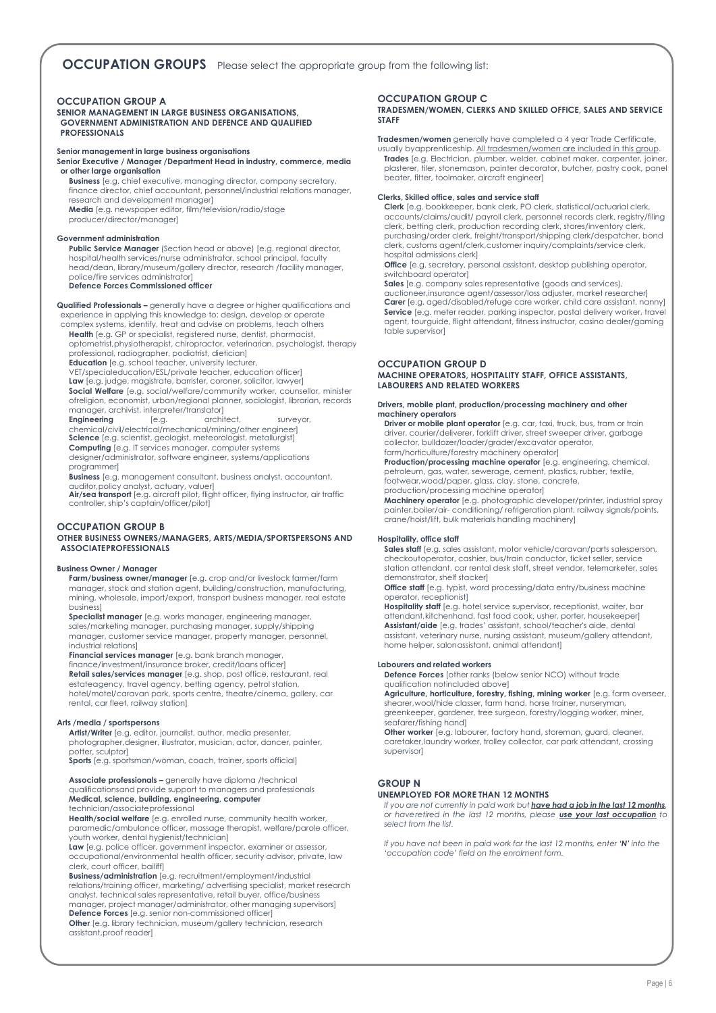### **OCCUPATION GROUPS** Please select the appropriate group from the following list:

#### **OCCUPATION GROUP A**

#### **SENIOR MANAGEMENT IN LARGE BUSINESS ORGANISATIONS, GOVERNMENT ADMINISTRATION AND DEFENCE AND QUALIFIED PROFESSIONALS**

#### **Senior management in large business organisations**

**Senior Executive / Manager /Department Head in industry, commerce, media or other large organisation**

**Business** [e.g. chief executive, managing director, company secretary, finance director, chief accountant, personnel/industrial relations manager, research and development manager] **Media** [e.g. newspaper editor, film/television/radio/stage producer/director/manager]

#### **Government administration**

**Public Service Manager** (Section head or above) [e.g. regional director, hospital/health services/nurse administrator, school principal, faculty head/dean, library/museum/gallery director, research /facility manager, police/fire services administrator]

#### **Defence Forces Commissioned officer**

**Qualified Professionals –** generally have a degree or higher qualifications and experience in applying this knowledge to: design, develop or operate complex systems, identify, treat and advise on problems, teach others

**Health** [e.g. GP or specialist, registered nurse, dentist, pharmacist,

optometrist,physiotherapist, chiropractor, veterinarian, psychologist, therapy professional, radiographer, podiatrist, dietician]

**Education** [e.g. school teacher, university lecturer,<br>VET/specialeducation/ESL/private teacher, education officer]

**Law** [e.g. judge, magistrate, barrister, coroner, solicitor, lawyer]

**Social Welfare** [e.g. social/welfare/community worker, counsellor, minister ofreligion, economist, urban/regional planner, sociologist, librarian, records

manager, archivist, interpreter/translator]<br>**Engineering** [e.g. architect, **Engineering** [e.g. architect, surveyor, chemical/civil/electrical/mechanical/mining/other engineer] **Science** [e.g. scientist, geologist, meteorologist, metallurgist] **Computing** [e.g. IT services manager, computer systems designer/administrator, software engineer, systems/applications programmer]

**Business** [e.g. management consultant, business analyst, accountant,

auditor,policy analyst, actuary, valuer]<br>**Air/sea transport** [e.g. aircraft pilot, flight officer, flying instructor, air traffic<br>controller, ship's captain/officer/pilot]

#### **OCCUPATION GROUP B**

#### **OTHER BUSINESS OWNERS/MANAGERS, ARTS/MEDIA/SPORTSPERSONS AND ASSOCIATEPROFESSIONALS**

#### **Business Owner / Manager**

**Farm/business owner/manager** [e.g. crop and/or livestock farmer/farm manager, stock and station agent, building/construction, manufacturing, mining, wholesale, import/export, transport business manager, real estate business]

**Specialist manager** [e.g. works manager, engineering manager, sales/marketing manager, purchasing manager, supply/shipping manager, customer service manager, property manager, personnel, industrial relations]

**Financial services manager** [e.g. bank branch manager, finance/investment/insurance broker, credit/loans officer]

**Retail sales/services manager** [e.g. shop, post office, restaurant, real estateagency, travel agency, betting agency, petrol station, hotel/motel/caravan park, sports centre, theatre/cinema, gallery, car rental, car fleet, railway station]

#### **Arts /media / sportspersons**

**Artist/Writer** [e.g. editor, journalist, author, media presenter, photographer,designer, illustrator, musician, actor, dancer, painter, potter, sculptor] **Sports** [e.g. sportsman/woman, coach, trainer, sports official]

#### **Associate professionals –** generally have diploma /technical qualificationsand provide support to managers and professionals **Medical, science, building, engineering, computer**  technician/associateprofessional

**Health/social welfare** [e.g. enrolled nurse, community health worker, paramedic/ambulance officer, massage therapist, welfare/parole officer, youth worker, dental hygienist/technician]

**Law** [e.g. police officer, government inspector, examiner or assessor, occupational/environmental health officer, security advisor, private, law clerk, court officer, bailiff]

**Business/administration** [e.g. recruitment/employment/industrial relations/training officer, marketing/ advertising specialist, market research analyst, technical sales representative, retail buyer, office/business manager, project manager/administrator, other managing supervisors] **Defence Forces** [e.g. senior non-commissioned officer]

**Other** [e.g. library technician, museum/gallery technician, research assistant,proof reader]

#### **OCCUPATION GROUP C**

**TRADESMEN/WOMEN, CLERKS AND SKILLED OFFICE, SALES AND SERVICE STAFF**

**Tradesmen/women** aenerally have completed a 4 year Trade Certificate,

usually byapprenticeship. All tradesmen/women are included in this group. **Trades** [e.g. Electrician, plumber, welder, cabinet maker, carpenter, joiner, plasterer, tiler, stonemason, painter decorator, butcher, pastry cook, panel beater, fitter, toolmaker, aircraft engineer]

#### **Clerks, Skilled office, sales and service staff**

**Clerk** [e.g. bookkeeper, bank clerk, PO clerk, statistical/actuarial clerk, accounts/claims/audit/ payroll clerk, personnel records clerk, registry/filing clerk, betting clerk, production recording clerk, stores/inventory clerk, purchasing/order clerk, freight/transport/shipping clerk/despatcher, bond clerk, customs agent/clerk,customer inquiry/complaints/service clerk, hospital admissions clerk]

**Office** [e.g. secretary, personal assistant, desktop publishing operator,<br>switchboard operator]

**Sales** [e.g. company sales representative (goods and services), auctioneer,insurance agent/assessor/loss adjuster, market researcher] **Carer** [e.g. aged/disabled/refuge care worker, child care assistant, nanny] **Service** [e.g. meter reader, parking inspector, postal delivery worker, travel agent, tourguide, flight attendant, fitness instructor, casino dealer/gaming table supervisor]

#### **OCCUPATION GROUP D**

#### **MACHINE OPERATORS, HOSPITALITY STAFF, OFFICE ASSISTANTS, LABOURERS AND RELATED WORKERS**

#### **Drivers, mobile plant, production/processing machinery and other machinery operators**

**Driver or mobile plant operator** [e.g. car, taxi, truck, bus, tram or train driver, courier/deliverer, forklift driver, street sweeper driver, garbage collector, bulldozer/loader/grader/excavator operator, farm/horticulture/forestry machinery operator]

**Production/processing machine operator** [e.g. engineering, chemical, petroleum, gas, water, sewerage, cement, plastics, rubber, textile, footwear,wood/paper, glass, clay, stone, concrete, production/processing machine operator]

**Machinery operator** [e.g. photographic developer/printer, industrial spray painter,boiler/air- conditioning/ refrigeration plant, railway signals/points, crane/hoist/lift, bulk materials handling machinery]

#### **Hospitality, office staff**

**Sales staff** [e.g. sales assistant, motor vehicle/caravan/parts salesperson, checkoutoperator, cashier, bus/train conductor, ticket seller, service station attendant, car rental desk staff, street vendor, telemarketer, sales demonstrator, shelf stacker]

**Office staff** [e.g. typist, word processing/data entry/business machine operator, receptionist]

**Hospitality staff** [e.g. hotel service supervisor, receptionist, waiter, bar attendant,kitchenhand, fast food cook, usher, porter, housekeeper] **Assistant/aide** [e.g. trades' assistant, school/teacher's aide, dental assistant, veterinary nurse, nursing assistant, museum/gallery attendant, home helper, salonassistant, animal attendant]

#### **Labourers and related workers**

**Defence Forces** [other ranks (below senior NCO) without trade

qualification notincluded above] **Agriculture, horticulture, forestry, fishing, mining worker** [e.g. farm overseer, shearer,wool/hide classer, farm hand, horse trainer, nurseryman, greenkeeper, gardener, tree surgeon, forestry/logging worker, miner, seafarer/fishing hand]

**Other worker** [e.g. labourer, factory hand, storeman, guard, cleaner, caretaker,laundry worker, trolley collector, car park attendant, crossing supervisor]

#### **GROUP N**

#### **UNEMPLOYED FOR MORE THAN 12 MONTHS**

*If you are not currently in paid work but have had a job in the last 12 months, or haveretired in the last 12 months, please use your last occupation to select from the list.*

*If you have not been in paid work for the last 12 months, enter 'N' into the 'occupation code' field on the enrolment form.*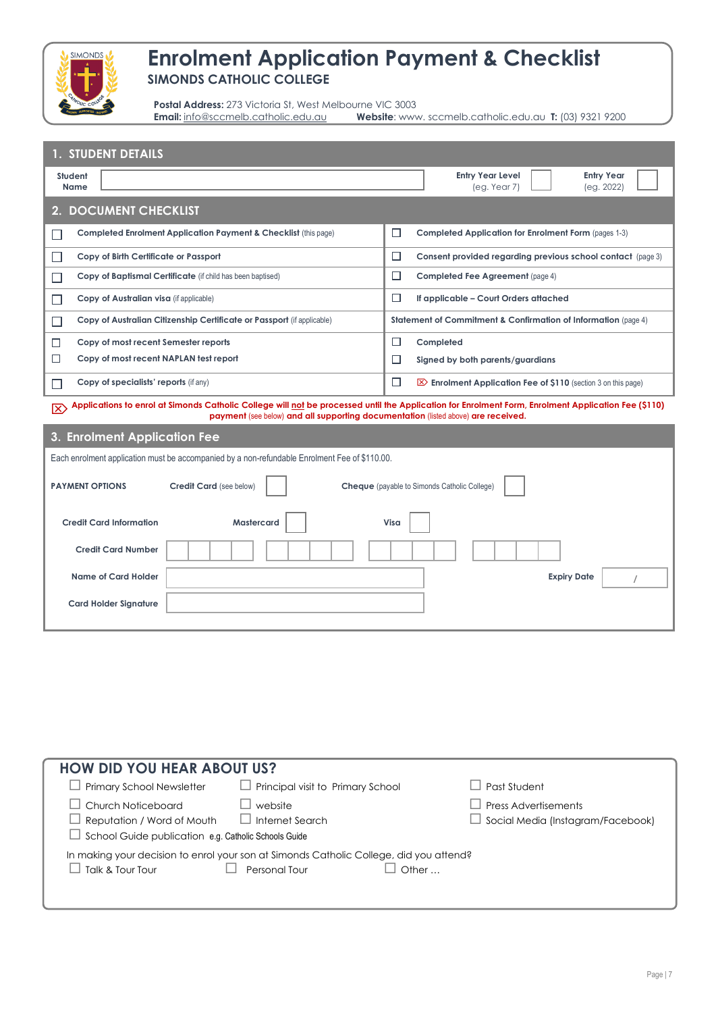

# **Enrolment Application Payment & Checklist SIMONDS CATHOLIC COLLEGE**

**Postal Address:** 273 Victoria St, West Melbourne VIC 3003<br> **Email:** info@sccmelb.catholic.edu.au **Website:** www **Email:** [info@sccmelb.catholic.edu.au](mailto:info@sccmelb.catholic.edu.au) **Website**: www. sccmelb.catholic.edu.au **T:** (03) 9321 9200

| 1. STUDENT DETAILS                                                                                                                                                                                                                       |                                                                                        |  |  |  |
|------------------------------------------------------------------------------------------------------------------------------------------------------------------------------------------------------------------------------------------|----------------------------------------------------------------------------------------|--|--|--|
| Student<br><b>Name</b>                                                                                                                                                                                                                   | <b>Entry Year Level</b><br><b>Entry Year</b><br>(eg. Year 7)<br>(eg. 2022)             |  |  |  |
| <b>DOCUMENT CHECKLIST</b><br>$2_{-}$                                                                                                                                                                                                     |                                                                                        |  |  |  |
| <b>Completed Enrolment Application Payment &amp; Checklist (this page)</b>                                                                                                                                                               | $\Box$<br>Completed Application for Enrolment Form (pages 1-3)                         |  |  |  |
| Copy of Birth Certificate or Passport<br>$\mathbf{I}$                                                                                                                                                                                    | $\Box$<br>Consent provided regarding previous school contact (page 3)                  |  |  |  |
| Copy of Baptismal Certificate (if child has been baptised)                                                                                                                                                                               | $\Box$<br>Completed Fee Agreement (page 4)                                             |  |  |  |
| Copy of Australian visa (if applicable)<br>$\blacksquare$                                                                                                                                                                                | $\Box$<br>If applicable - Court Orders attached                                        |  |  |  |
| Copy of Australian Citizenship Certificate or Passport (if applicable)<br>$\blacksquare$                                                                                                                                                 | Statement of Commitment & Confirmation of Information (page 4)                         |  |  |  |
| Copy of most recent Semester reports<br>П                                                                                                                                                                                                | □<br>Completed                                                                         |  |  |  |
| Copy of most recent NAPLAN test report<br>П                                                                                                                                                                                              | □<br>Signed by both parents/guardians                                                  |  |  |  |
| Copy of specialists' reports (if any)                                                                                                                                                                                                    | $\Box$<br>$\triangleright$ Enrolment Application Fee of \$110 (section 3 on this page) |  |  |  |
| Applications to enrol at Simonds Catholic College will not be processed until the Application for Enrolment Form, Enrolment Application Fee (\$110)<br>payment (see below) and all supporting documentation (listed above) are received. |                                                                                        |  |  |  |
| 3. Enrolment Application Fee                                                                                                                                                                                                             |                                                                                        |  |  |  |
| Each enrolment application must be accompanied by a non-refundable Enrolment Fee of \$110.00.                                                                                                                                            |                                                                                        |  |  |  |
| <b>PAYMENT OPTIONS</b><br>Credit Card (see below)                                                                                                                                                                                        | Cheque (payable to Simonds Catholic College)                                           |  |  |  |
| Mastercard<br><b>Credit Card Information</b>                                                                                                                                                                                             | Visa                                                                                   |  |  |  |
| <b>Credit Card Number</b>                                                                                                                                                                                                                |                                                                                        |  |  |  |
| Name of Card Holder                                                                                                                                                                                                                      | <b>Expiry Date</b>                                                                     |  |  |  |
| <b>Card Holder Signature</b>                                                                                                                                                                                                             |                                                                                        |  |  |  |
|                                                                                                                                                                                                                                          |                                                                                        |  |  |  |

| <b>HOW DID YOU HEAR ABOUT US?</b>                                                                                                             |                                                                                                                  |                                                                         |  |  |  |
|-----------------------------------------------------------------------------------------------------------------------------------------------|------------------------------------------------------------------------------------------------------------------|-------------------------------------------------------------------------|--|--|--|
| <b>Primary School Newsletter</b>                                                                                                              | $\Box$ Principal visit to Primary School                                                                         | Past Student                                                            |  |  |  |
| Church Noticeboard<br>$\Box$ Reputation / Word of Mouth $\Box$ Internet Search<br>$\Box$ School Guide publication e.g. Catholic Schools Guide | $\Box$ website                                                                                                   | $\Box$ Press Advertisements<br>$\Box$ Social Media (Instagram/Facebook) |  |  |  |
| $\vert$ Talk & Tour Tour                                                                                                                      | In making your decision to enrol your son at Simonds Catholic College, did you attend?<br>Personal Tour<br>Other |                                                                         |  |  |  |